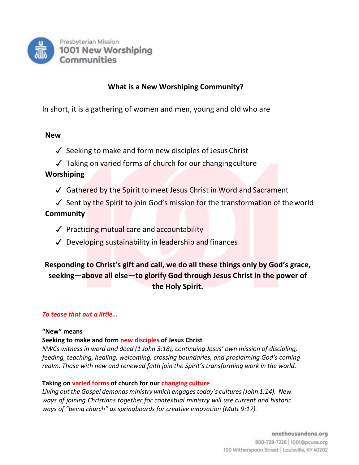

# **What is a New Worshiping Community?**

In short, it is a gathering of women and men, young and old who are

## **New**

- $\checkmark$  Seeking to make and form new disciples of Jesus Christ
- $\sqrt{ }$  Taking on varied forms of church for our changing culture

## **Worshiping**

- ✓ Gathered by the Spirit to meet Jesus Christ in Word and Sacrament
- ✓ Sent by the Spirit to join God's mission for the transformation of theworld **Community**
	- ✓ Practicing mutual care and accountability
	- $\sqrt{\phantom{a}}$  Developing sustainability in leadership and finances

# **Responding to Christ's gift and call, we do all these things only by God's grace, seeking—above all else—to glorify God through Jesus Christ in the power of the Holy Spirit.**

## *To tease that out a little…*

#### **"New" means**

## **Seeking to make and form new disciples of Jesus Christ**

*NWCs witness in word and deed (1 John 3:18), continuing Jesus' own mission of discipling, feeding, teaching, healing, welcoming, crossing boundaries, and proclaiming God's coming realm. Those with new and renewed faith join the Spirit's transforming work in the world.*

## **Taking on varied forms of church for our changing culture**

*Living out the Gospel demands ministry which engages today's cultures (John 1:14). New ways of joining Christians together for contextual ministry will use current and historic ways of "being church" as springboards for creative innovation (Matt 9:17).*